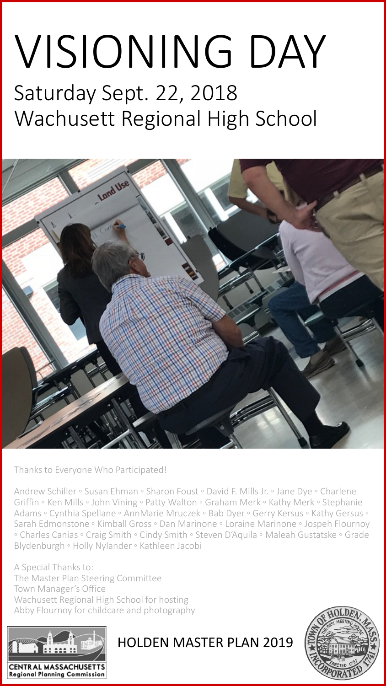# VISIONING DAY Saturday Sept. 22, 2018 Wachusett Regional High School



Thanks to Everyone Who Participated!

Andrew Schiller ◦ Susan Ehman ◦ Sharon Foust ◦ David F. Mills Jr. ◦ Jane Dye ◦ Charlene Griffin ◦ Ken Mills ◦ John Vining ◦ Patty Walton ◦ Graham Merk ◦ Kathy Merk ◦ Stephanie Adams ◦ Cynthia Spellane ◦ AnnMarie Mruczek ◦ Bab Dyer ◦ Gerry Kersus ◦ Kathy Gersus ◦ Sarah Edmonstone ◦ Kimball Gross ◦ Dan Marinone ◦ Loraine Marinone ◦ Jospeh Flournoy ◦ Charles Canias ◦ Craig Smith ◦ Cindy Smith ◦ Steven D'Aquila ◦ Maleah Gustatske ◦ Grade Blydenburgh ◦ Holly Nylander ◦ Kathleen Jacobi

A Special Thanks to: The Master Plan Steering Committee Town Manager's Office Wachusett Regional High School for hosting Abby Flournoy for childcare and photography



## HOLDEN MASTER PLAN 2019

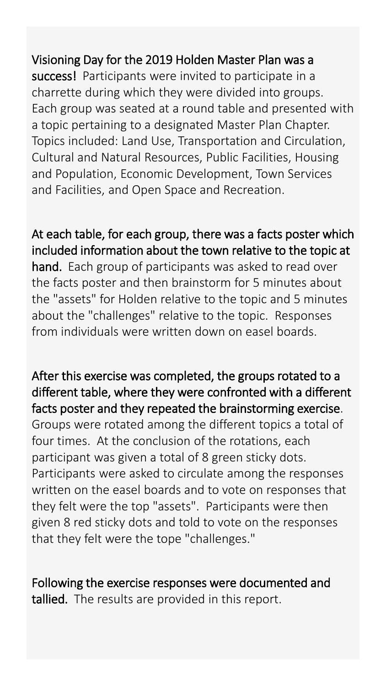## Visioning Day for the 2019 Holden Master Plan was a

success! Participants were invited to participate in a charrette during which they were divided into groups. Each group was seated at a round table and presented with a topic pertaining to a designated Master Plan Chapter. Topics included: Land Use, Transportation and Circulation, Cultural and Natural Resources, Public Facilities, Housing and Population, Economic Development, Town Services and Facilities, and Open Space and Recreation.

At each table, for each group, there was a facts poster which included information about the town relative to the topic at hand. Each group of participants was asked to read over the facts poster and then brainstorm for 5 minutes about the "assets" for Holden relative to the topic and 5 minutes about the "challenges" relative to the topic. Responses from individuals were written down on easel boards.

After this exercise was completed, the groups rotated to a different table, where they were confronted with a different facts poster and they repeated the brainstorming exercise. Groups were rotated among the different topics a total of four times. At the conclusion of the rotations, each participant was given a total of 8 green sticky dots. Participants were asked to circulate among the responses written on the easel boards and to vote on responses that they felt were the top "assets". Participants were then given 8 red sticky dots and told to vote on the responses that they felt were the tope "challenges."

Following the exercise responses were documented and tallied. The results are provided in this report.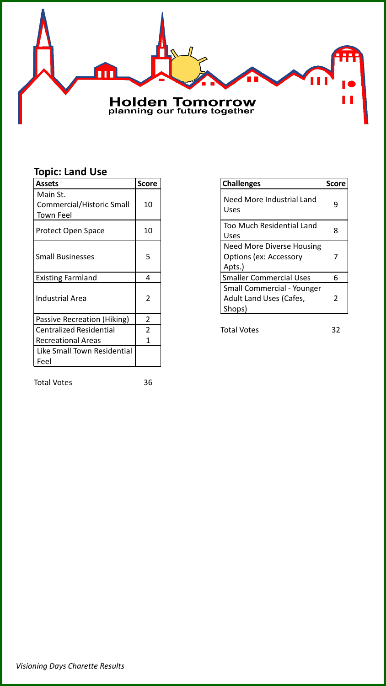

### **Topic: Land Use**

| <b>Assets</b>                                      | <b>Score</b>   | <b>Challenges</b>                                                    | Sco |  |
|----------------------------------------------------|----------------|----------------------------------------------------------------------|-----|--|
| Main St.<br>Commercial/Historic Small<br>Town Feel | 10             | Need More Industrial Land<br>Uses                                    | 9   |  |
| Protect Open Space                                 | 10             | Too Much Residential Land<br>Uses                                    | 8   |  |
| <b>Small Businesses</b>                            | 5              | Need More Diverse Housing<br><b>Options (ex: Accessory</b><br>Apts.) | 7   |  |
| <b>Existing Farmland</b>                           | 4              | <b>Smaller Commercial Uses</b>                                       |     |  |
| Industrial Area                                    | 2              | Small Commercial - Younger<br>Adult Land Uses (Cafes,<br>Shops)      |     |  |
| Passive Recreation (Hiking)                        | $\overline{2}$ |                                                                      |     |  |
| <b>Centralized Residential</b>                     | 2              | <b>Total Votes</b>                                                   | 32  |  |
| <b>Recreational Areas</b>                          | 1              |                                                                      |     |  |
| Like Small Town Residential<br>Feel                |                |                                                                      |     |  |

| ore:           | <b>Challenges</b>                                                           | <b>Score</b>  |
|----------------|-----------------------------------------------------------------------------|---------------|
|                |                                                                             |               |
| 10             | Need More Industrial Land<br>Uses                                           | 9             |
| 10             | <b>Too Much Residential Land</b><br>Uses                                    | 8             |
| 5              | <b>Need More Diverse Housing</b><br><b>Options (ex: Accessory</b><br>Apts.) |               |
| $\overline{4}$ | <b>Smaller Commercial Uses</b>                                              | 6             |
| 2              | Small Commercial - Younger<br>Adult Land Uses (Cafes,<br>Shops)             | $\mathcal{P}$ |
| $\overline{2}$ |                                                                             |               |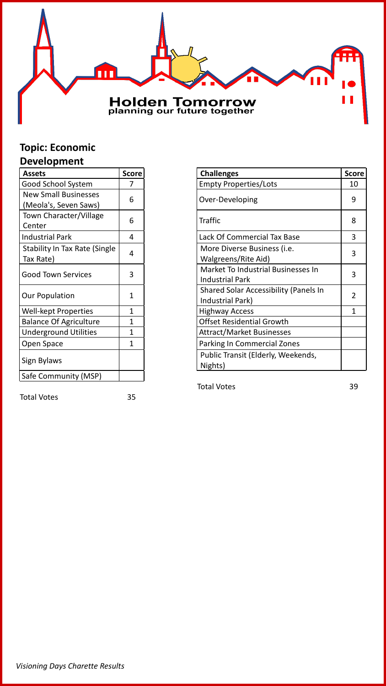m **Holden Tomorrow**<br>planning our future together H

## **Topic: Economic**

### **Development**

| <b>Assets</b>                                        | <b>Score</b> | <b>Challenges</b>                                            |
|------------------------------------------------------|--------------|--------------------------------------------------------------|
| Good School System                                   | 7            | <b>Empty Properties/Lots</b>                                 |
| <b>New Small Businesses</b><br>(Meola's, Seven Saws) | 6            | Over-Developing                                              |
| Town Character/Village<br>Center                     | 6            | <b>Traffic</b>                                               |
| <b>Industrial Park</b>                               | 4            | Lack Of Commercial Tax Base                                  |
| Stability In Tax Rate (Single<br>Tax Rate)           | 4            | More Diverse Business (i.e.<br>Walgreens/Rite Aid)           |
| <b>Good Town Services</b>                            | 3            | Market To Industrial Businesses In<br><b>Industrial Park</b> |
| <b>Our Population</b>                                | 1            | Shared Solar Accessibility (Panels I<br>Industrial Park)     |
| <b>Well-kept Properties</b>                          | 1            | <b>Highway Access</b>                                        |
| <b>Balance Of Agriculture</b>                        | 1            | <b>Offset Residential Growth</b>                             |
| <b>Underground Utilities</b>                         | 1            | <b>Attract/Market Businesses</b>                             |
| Open Space                                           | 1            | Parking In Commercial Zones                                  |
| Sign Bylaws                                          |              | Public Transit (Elderly, Weekends,<br>Nights)                |
| Safe Community (MSP)                                 |              |                                                              |

Total Votes 35

| <b>Assets</b>                                        | <b>Score</b> | <b>Challenges</b>                                            | <b>Score</b> |
|------------------------------------------------------|--------------|--------------------------------------------------------------|--------------|
| Good School System                                   | 7            | <b>Empty Properties/Lots</b>                                 | 10           |
| <b>New Small Businesses</b><br>(Meola's, Seven Saws) | 6            | Over-Developing                                              | 9            |
| Town Character/Village<br>Center                     | 6            | Traffic                                                      | 8            |
| <b>Industrial Park</b>                               | 4            | Lack Of Commercial Tax Base                                  | 3            |
| Stability In Tax Rate (Single<br>Tax Rate)           | 4            | More Diverse Business (i.e.<br>Walgreens/Rite Aid)           | 3            |
| <b>Good Town Services</b>                            | 3            | Market To Industrial Businesses In<br><b>Industrial Park</b> | 3            |
| <b>Our Population</b>                                | 1            | Shared Solar Accessibility (Panels In<br>Industrial Park)    | 2            |
| <b>Well-kept Properties</b>                          | 1            | <b>Highway Access</b>                                        | 1            |
| <b>Balance Of Agriculture</b>                        | 1            | <b>Offset Residential Growth</b>                             |              |
| <b>Underground Utilities</b>                         | 1            | Attract/Market Businesses                                    |              |
| Open Space                                           | 1            | Parking In Commercial Zones                                  |              |
| Sign Bylaws                                          |              | Public Transit (Elderly, Weekends,<br>Nights)                |              |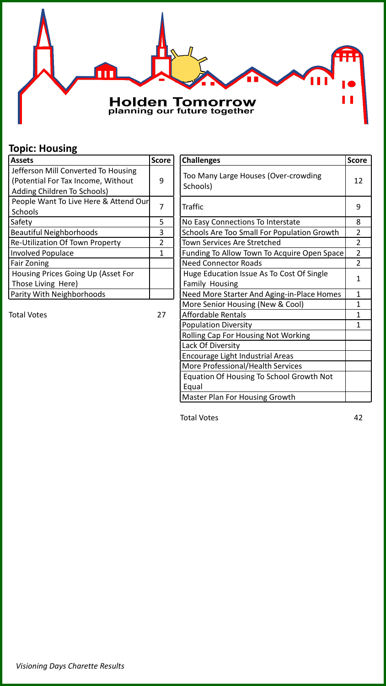

## **Topic: Housing**

| <b>Assets</b>                          | <b>Score</b>  |
|----------------------------------------|---------------|
| Jefferson Mill Converted To Housing    |               |
| (Potential For Tax Income, Without     | 9             |
| Adding Children To Schools)            |               |
| People Want To Live Here & Attend Our  |               |
| Schools                                |               |
| Safety                                 | 5             |
| <b>Beautiful Neighborhoods</b>         | 3             |
| <b>Re-Utilization Of Town Property</b> | $\mathcal{P}$ |
| Involved Populace                      | 1             |
| <b>Fair Zoning</b>                     |               |
| Housing Prices Going Up (Asset For     |               |
| Those Living Here)                     |               |
| Parity With Neighborhoods              |               |

| Assets                                                                                                   | <b>Score</b>   | <b>Challenges</b>                                           | <b>Score</b>   |
|----------------------------------------------------------------------------------------------------------|----------------|-------------------------------------------------------------|----------------|
| Jefferson Mill Converted To Housing<br>(Potential For Tax Income, Without<br>Adding Children To Schools) | 9              | Too Many Large Houses (Over-crowding<br>Schools)            | 12             |
| People Want To Live Here & Attend Our<br>Schools                                                         | 7              | <b>Traffic</b>                                              |                |
| Safety                                                                                                   | 5              | No Easy Connections To Interstate                           | 8              |
| <b>Beautiful Neighborhoods</b>                                                                           | 3              | Schools Are Too Small For Population Growth                 | $\overline{2}$ |
| Re-Utilization Of Town Property                                                                          | $\overline{2}$ | <b>Town Services Are Stretched</b>                          | $\overline{2}$ |
| <b>Involved Populace</b>                                                                                 | 1              | Funding To Allow Town To Acquire Open Space                 | $\overline{2}$ |
| <b>Fair Zoning</b>                                                                                       |                | <b>Need Connector Roads</b>                                 | $\overline{2}$ |
| Housing Prices Going Up (Asset For<br>Those Living Here)                                                 |                | Huge Education Issue As To Cost Of Single<br>Family Housing | 1              |
| Parity With Neighborhoods                                                                                |                | Need More Starter And Aging-in-Place Homes                  | 1              |
|                                                                                                          |                | More Senior Housing (New & Cool)                            | $\mathbf{1}$   |
| <b>Total Votes</b>                                                                                       | 27             | <b>Affordable Rentals</b>                                   | 1              |
|                                                                                                          |                | <b>Population Diversity</b>                                 | 1              |
|                                                                                                          |                | Rolling Cap For Housing Not Working                         |                |
|                                                                                                          |                | Lack Of Diversity                                           |                |
|                                                                                                          |                | Encourage Light Industrial Areas                            |                |
|                                                                                                          |                | More Professional/Health Services                           |                |
|                                                                                                          |                | Equation Of Housing To School Growth Not                    |                |
|                                                                                                          |                | Equal                                                       |                |
|                                                                                                          |                | Master Plan For Housing Growth                              |                |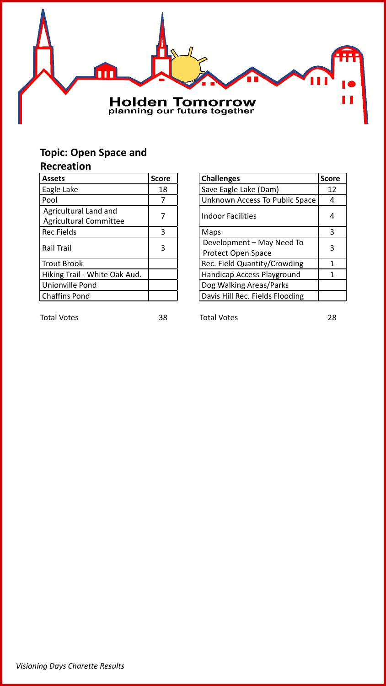

### **Topic: Open Space and**

#### **Recreation**

| <b>Assets</b>                                          | <b>Score</b> | <b>Challenges</b>                               | Scor |
|--------------------------------------------------------|--------------|-------------------------------------------------|------|
| Eagle Lake                                             | 18           | Save Eagle Lake (Dam)                           | 12   |
| Pool                                                   |              | Unknown Access To Public Space                  | 4    |
| Agricultural Land and<br><b>Agricultural Committee</b> |              | <b>Indoor Facilities</b>                        | 4    |
| <b>Rec Fields</b>                                      | 3            | Maps                                            | 3    |
| <b>Rail Trail</b>                                      | 3            | Development - May Need To<br>Protect Open Space | 3    |
| Trout Brook                                            |              | Rec. Field Quantity/Crowding                    |      |
| Hiking Trail - White Oak Aud.                          |              | Handicap Access Playground                      | 1    |
| Unionville Pond                                        |              | Dog Walking Areas/Parks                         |      |
| Chaffins Pond                                          |              | Davis Hill Rec. Fields Flooding                 |      |

| <b>Assets</b>                                          | <b>Score</b> | <b>Challenges</b>                                      | <b>Score</b> |
|--------------------------------------------------------|--------------|--------------------------------------------------------|--------------|
| Eagle Lake                                             | 18           | Save Eagle Lake (Dam)                                  | 12           |
| Pool                                                   | 7            | Unknown Access To Public Space                         | 4            |
| Agricultural Land and<br><b>Agricultural Committee</b> | 7            | <b>Indoor Facilities</b>                               |              |
| Rec Fields                                             | 3            | Maps                                                   | 3            |
| Rail Trail                                             | 3            | Development - May Need To<br><b>Protect Open Space</b> | 3            |
| <b>Trout Brook</b>                                     |              | Rec. Field Quantity/Crowding                           |              |
| Hiking Trail - White Oak Aud.                          |              | Handicap Access Playground                             |              |
| Unionville Pond                                        |              | Dog Walking Areas/Parks                                |              |
| <b>Chaffins Pond</b>                                   |              | Davis Hill Rec. Fields Flooding                        |              |
|                                                        |              |                                                        |              |

Total Votes 38 Total Votes 28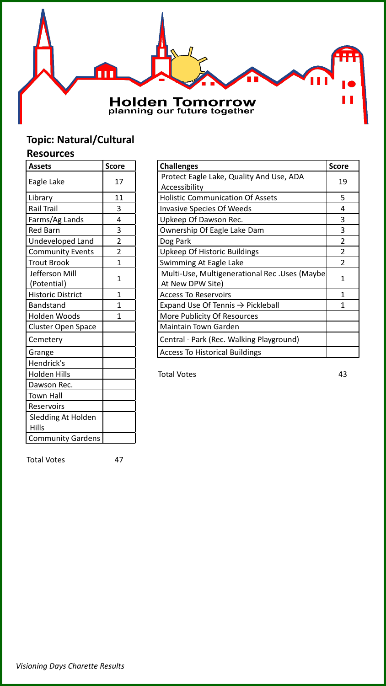**Holden Tomorrow**<br>planning our future together

## **Topic: Natural/Cultural**

m

#### **Resources**

| <b>Assets</b>            | <b>Score</b>   | <b>Challenges</b>                       |
|--------------------------|----------------|-----------------------------------------|
| Eagle Lake               | 17             | Protect Eagle Lake, Quality A           |
|                          |                | Accessibility                           |
| Library                  | 11             | <b>Holistic Communication Of As</b>     |
| Rail Trail               | 3              | <b>Invasive Species Of Weeds</b>        |
| Farms/Ag Lands           | 4              | Upkeep Of Dawson Rec.                   |
| <b>Red Barn</b>          | 3              | Ownership Of Eagle Lake Dan             |
| Undeveloped Land         | $\overline{2}$ | Dog Park                                |
| <b>Community Events</b>  | $\overline{2}$ | Upkeep Of Historic Buildings            |
| <b>Trout Brook</b>       | $\overline{1}$ | Swimming At Eagle Lake                  |
| Jefferson Mill           | $\mathbf{1}$   | Multi-Use, Multigenerational            |
| (Potential)              |                | At New DPW Site)                        |
| <b>Historic District</b> | $\mathbf{1}$   | <b>Access To Reservoirs</b>             |
| Bandstand                | $\mathbf{1}$   | Expand Use Of Tennis $\rightarrow$ Pick |
| Holden Woods             | $\overline{1}$ | More Publicity Of Resources             |
| Cluster Open Space       |                | <b>Maintain Town Garden</b>             |
| Cemetery                 |                | Central - Park (Rec. Walking P          |
| Grange                   |                | <b>Access To Historical Buildings</b>   |
| Hendrick's               |                |                                         |
| <b>Holden Hills</b>      |                | <b>Total Votes</b>                      |
| Dawson Rec.              |                |                                         |
| <b>Town Hall</b>         |                |                                         |
| Reservoirs               |                |                                         |
| Sledding At Holden       |                |                                         |
| Hills                    |                |                                         |
| <b>Community Gardens</b> |                |                                         |

| Assets                        | <b>Score</b>   | <b>Challenges</b>                                                  | <b>Score</b>   |
|-------------------------------|----------------|--------------------------------------------------------------------|----------------|
| Eagle Lake                    | 17             | Protect Eagle Lake, Quality And Use, ADA<br>Accessibility          | 19             |
| Library                       | 11             | <b>Holistic Communication Of Assets</b>                            | 5              |
| Rail Trail                    | 3              | <b>Invasive Species Of Weeds</b>                                   | 4              |
| Farms/Ag Lands                | 4              | Upkeep Of Dawson Rec.                                              | 3              |
| Red Barn                      | 3              | Ownership Of Eagle Lake Dam                                        | 3              |
| Undeveloped Land              | $\overline{2}$ | Dog Park                                                           | $\overline{2}$ |
| <b>Community Events</b>       | 2              | Upkeep Of Historic Buildings                                       |                |
| <b>Trout Brook</b>            | 1              | Swimming At Eagle Lake                                             | $\overline{2}$ |
| Jefferson Mill<br>(Potential) | 1              | Multi-Use, Multigenerational Rec. Uses (Maybe)<br>At New DPW Site) | 1              |
| <b>Historic District</b>      | 1              | <b>Access To Reservoirs</b>                                        | 1              |
| <b>Bandstand</b>              | 1              | Expand Use Of Tennis $\rightarrow$ Pickleball                      |                |
| Holden Woods                  | 1              | More Publicity Of Resources                                        |                |
| <b>Cluster Open Space</b>     |                | Maintain Town Garden                                               |                |
| Cemetery                      |                | Central - Park (Rec. Walking Playground)                           |                |
| Grange                        |                | <b>Access To Historical Buildings</b>                              |                |
| Hondrick <sup>i</sup> c       |                |                                                                    |                |

Total Votes 43

H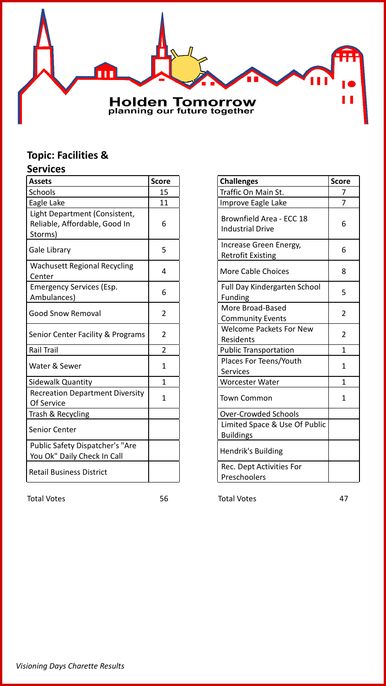m **Holden Tomorrow**<br>planning our future together H

## **Topic: Facilities &**

#### **Services**

| <b>Assets</b>                                                             | <b>Score</b>   | <b>Challenges</b>                                   | <b>Score</b>   |
|---------------------------------------------------------------------------|----------------|-----------------------------------------------------|----------------|
| Schools                                                                   | 15             | Traffic On Main St.                                 | 7              |
| Eagle Lake                                                                | 11             | Improve Eagle Lake                                  | $\overline{7}$ |
| Light Department (Consistent,<br>Reliable, Affordable, Good In<br>Storms) | 6              | Brownfield Area - ECC 18<br><b>Industrial Drive</b> | 6              |
| Gale Library                                                              | 5              | Increase Green Energy,<br><b>Retrofit Existing</b>  | 6              |
| <b>Wachusett Regional Recycling</b><br>Center                             | 4              | <b>More Cable Choices</b>                           | 8              |
| <b>Emergency Services (Esp.</b><br>Ambulances)                            | 6              | Full Day Kindergarten School<br><b>Funding</b>      | 5              |
| <b>Good Snow Removal</b>                                                  | 2              | More Broad-Based<br><b>Community Events</b>         | $\overline{2}$ |
| Senior Center Facility & Programs                                         | 2              | <b>Welcome Packets For New</b><br>Residents         | $\overline{2}$ |
| <b>Rail Trail</b>                                                         | $\overline{2}$ | <b>Public Transportation</b>                        | $\mathbf{1}$   |
| Water & Sewer                                                             | 1              | Places For Teens/Youth<br><b>Services</b>           | $\mathbf{1}$   |
| Sidewalk Quantity                                                         | $\mathbf{1}$   | <b>Worcester Water</b>                              | $\mathbf{1}$   |
| <b>Recreation Department Diversity</b><br>Of Service                      | $\mathbf{1}$   | <b>Town Common</b>                                  | $\mathbf{1}$   |
| Trash & Recycling                                                         |                | <b>Over-Crowded Schools</b>                         |                |
| Senior Center                                                             |                | Limited Space & Use Of Public<br><b>Buildings</b>   |                |
| Public Safety Dispatcher's "Are<br>You Ok" Daily Check In Call            |                | Hendrik's Building                                  |                |
| <b>Retail Business District</b>                                           |                | Rec. Dept Activities For<br>Preschoolers            |                |

Total Votes **1988** Total Votes **1988** Total Votes **1988** And Votes **1988** 

| re                      | <b>Challenges</b>                                   | <b>Score</b>   |
|-------------------------|-----------------------------------------------------|----------------|
| L5                      | Traffic On Main St.                                 | 7              |
| $\overline{1}$          | Improve Eagle Lake                                  | 7              |
| 6                       | Brownfield Area - ECC 18<br><b>Industrial Drive</b> | 6              |
| 5                       | Increase Green Energy,<br><b>Retrofit Existing</b>  | 6              |
| 4                       | <b>More Cable Choices</b>                           | 8              |
| 6                       | Full Day Kindergarten School<br><b>Funding</b>      | 5              |
| 2                       | More Broad-Based<br><b>Community Events</b>         | $\overline{2}$ |
| $\overline{\mathbf{2}}$ | <b>Welcome Packets For New</b><br>Residents         | $\overline{2}$ |
| $\frac{2}{2}$           | <b>Public Transportation</b>                        | $\overline{1}$ |
| $\mathbf 1$             | Places For Teens/Youth<br>Services                  | $\mathbf{1}$   |
| $\overline{1}$          | <b>Worcester Water</b>                              | 1              |
| $\overline{1}$          | <b>Town Common</b>                                  | 1              |
|                         | <b>Over-Crowded Schools</b>                         |                |
|                         | Limited Space & Use Of Public<br><b>Buildings</b>   |                |
|                         | Hendrik's Building                                  |                |
|                         | Rec. Dept Activities For<br>Preschoolers            |                |